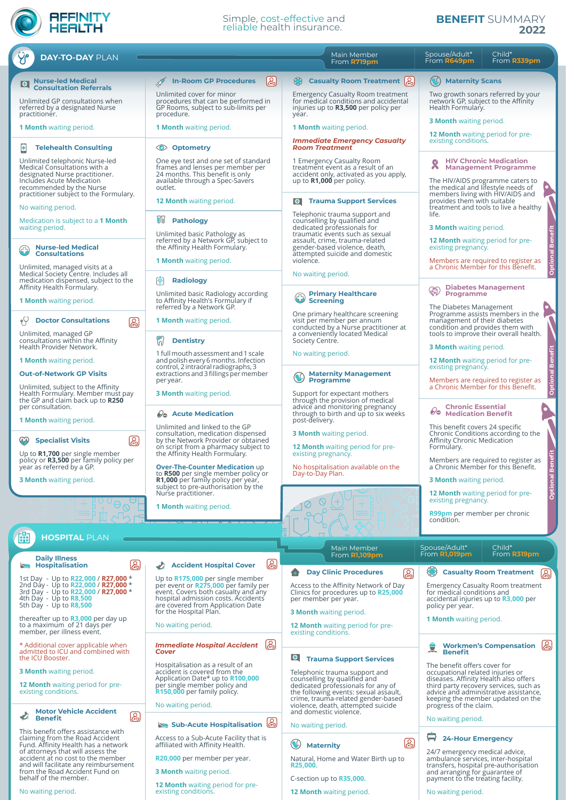## **AFFINITY**<br>HEALTH

## Simple, cost-effective and reliable health insurance.

## **BENEFIT** SUMMARY **2022**

| <b>DAY-TO-DAY PLAN</b>                                                                                                                                                         |                                                                                                                                                                                             | Main Member<br>From <b>R719pm</b>                                                                                                                                                                                    | Spouse/Adult*<br>Child*<br>From R649pm<br>From R339pm                                                                                                                                                                             |
|--------------------------------------------------------------------------------------------------------------------------------------------------------------------------------|---------------------------------------------------------------------------------------------------------------------------------------------------------------------------------------------|----------------------------------------------------------------------------------------------------------------------------------------------------------------------------------------------------------------------|-----------------------------------------------------------------------------------------------------------------------------------------------------------------------------------------------------------------------------------|
| <b>O</b> Nurse-led Medical<br><b>Consultation Referrals</b>                                                                                                                    | န္ထြ<br><b>In-Room GP Procedures</b>                                                                                                                                                        | Casualty Room Treatment [2]                                                                                                                                                                                          | $\left( \frac{1}{2} \right)$<br><b>Maternity Scans</b>                                                                                                                                                                            |
| Unlimited GP consultations when<br>referred by a designated Nurse<br>practitioner.                                                                                             | Unlimited cover for minor<br>procedures that can be performed in<br>GP Rooms, subject to sub-limits per<br>procedure.                                                                       | <b>Emergency Casualty Room treatment</b><br>for medical conditions and accidental<br>injuries up to R3,500 per policy per<br>year.                                                                                   | Two growth sonars referred by your<br>network GP, subject to the Affinity<br>Health Formulary.                                                                                                                                    |
| <b>1 Month</b> waiting period.                                                                                                                                                 | <b>1 Month</b> waiting period.                                                                                                                                                              | <b>1 Month</b> waiting period.                                                                                                                                                                                       | <b>3 Month</b> waiting period.                                                                                                                                                                                                    |
| E<br><b>Telehealth Consulting</b>                                                                                                                                              | <b>The Optometry</b>                                                                                                                                                                        | <b>Immediate Emergency Casualty</b><br><b>Room Treatment</b>                                                                                                                                                         | <b>12 Month</b> waiting period for pre-<br>existing conditions.                                                                                                                                                                   |
| Unlimited telephonic Nurse-led<br>Medical Consultations with a<br>designated Nurse practitioner.<br>Includes Acute Medication<br>recommended by the Nurse                      | One eye test and one set of standard<br>frames and lenses per member per<br>24 months. This benefit is only<br>available through a Spec-Savers<br>outlet.                                   | 1 Emergency Casualty Room<br>treatment event as a result of an<br>accident only, activated as you apply,<br>up to $R1,000$ per policy.                                                                               | <b>HIV Chronic Medication</b><br><b>Management Programme</b><br>The HIV/AIDS programme caters to<br>the medical and lifestyle needs of                                                                                            |
| practitioner subject to the Formulary.<br>No waiting period.                                                                                                                   | <b>12 Month</b> waiting period.                                                                                                                                                             | <b>Trauma Support Services</b><br>10 I                                                                                                                                                                               | members living with HIV/AIDS and<br>provides them with suitable<br>treatment and tools to live a healthy                                                                                                                          |
| Medication is subject to a 1 Month<br>waiting period.                                                                                                                          | UU<br>Pathology<br>Unlimited basic Pathology as                                                                                                                                             | Telephonic trauma support and<br>counselling by qualified and<br>dedicated professionals for<br>traumatic events such as sexual                                                                                      | life.<br><b>3 Month</b> waiting period.                                                                                                                                                                                           |
| <b>Nurse-led Medical</b><br><b>Consultations</b>                                                                                                                               | referred by a Network GP, subject to<br>the Affinity Health Formulary.<br><b>1 Month</b> waiting period.                                                                                    | assault, crime, trauma-related<br>gender-based violence, death,<br>attempted suicide and domestic<br>violence.                                                                                                       | <b>Optional Bene</b><br><b>12 Month</b> waiting period for pre-<br>existing pregnancy.<br>Members are required to register as                                                                                                     |
| Unlimited, managed visits at a<br>Medical Society Centre. Includes all<br>medication dispensed, subject to the                                                                 | 嘞<br><b>Radiology</b>                                                                                                                                                                       | No waiting period.                                                                                                                                                                                                   | a Chronic Member for this Benefit.                                                                                                                                                                                                |
| Affinity Health Formulary.<br><b>1 Month</b> waiting period.                                                                                                                   | Unlimited basic Radiology according<br>to Affinity Health's Formulary if                                                                                                                    | <b>Primary Healthcare</b><br><b>Screening</b>                                                                                                                                                                        | <b>Diabetes Management</b><br>$\mathbb{Q}$<br><b>Programme</b>                                                                                                                                                                    |
| <b>Doctor Consultations</b><br>ඹ<br>ęΥ                                                                                                                                         | referred by a Network GP.<br><b>1 Month</b> waiting period.                                                                                                                                 | One primary healthcare screening<br>visit per member per annum<br>conducted by a Nurse practitioner at                                                                                                               | The Diabetes Management<br>Programme assists members in the<br>management of their diabetes<br>condition and provides them with                                                                                                   |
| Unlimited, managed GP<br>consultations within the Affinity<br>Health Provider Network.                                                                                         | <b>Dentistry</b><br>Inl                                                                                                                                                                     | a conveniently located Medical<br>Society Centre.                                                                                                                                                                    | tools to improve their overall health.<br><b>3 Month</b> waiting period.                                                                                                                                                          |
| <b>1 Month</b> waiting period.                                                                                                                                                 | 1 full mouth assessment and 1 scale<br>and polish every 6 months. Infection                                                                                                                 | No waiting period.                                                                                                                                                                                                   | <b>12 Month</b> waiting period for pre-                                                                                                                                                                                           |
| <b>Out-of-Network GP Visits</b>                                                                                                                                                | control, 2 intraoral radiographs, 3<br>extractions and 3 fillings per member<br>per year.                                                                                                   | <b>Maternity Management</b><br><b>Programme</b>                                                                                                                                                                      | existing pregnancy.<br>Optional<br>Members are required to register as                                                                                                                                                            |
| Unlimited, subject to the Affinity<br>Health Formulary. Member must pay<br>the GP and claim back up to R250<br>per consultation.                                               | <b>3 Month</b> waiting period.                                                                                                                                                              | Support for expectant mothers<br>through the provision of medical<br>advice and monitoring pregnancy                                                                                                                 | a Chronic Member for this Benefit.<br><b>Chronic Essential</b>                                                                                                                                                                    |
| <b>1 Month</b> waiting period.                                                                                                                                                 | <b>So</b> Acute Medication<br>Unlimited and linked to the GP                                                                                                                                | through to birth and up to six weeks<br>post-delivery.                                                                                                                                                               | <b>Medication Benefit</b><br>This benefit covers 24 specific                                                                                                                                                                      |
| இ<br><b>Specialist Visits</b><br>Up to R1,700 per single member                                                                                                                | consultation, medication dispensed<br>by the Network Provider or obtained<br>on script from a pharmacy subject to<br>the Affinity Health Formulary.                                         | <b>3 Month</b> waiting period.<br><b>12 Month</b> waiting period for pre-<br>existing pregnancy.                                                                                                                     | Chronic Conditions according to the<br>Affinity Chronic Medication<br>Formulary.                                                                                                                                                  |
| policy or <b>R3,500</b> per family policy per<br>year as referred by a GP.<br><b>3 Month</b> waiting period.                                                                   | <b>Over-The-Counter Medication up</b><br>to R500 per single member policy or                                                                                                                | No hospitalisation available on the<br>Day-to-Day Plan.                                                                                                                                                              | Members are required to register as<br>a Chronic Member for this Benefit.<br><b>Optional Be</b><br><b>3 Month</b> waiting period.                                                                                                 |
|                                                                                                                                                                                | <b>R1,000</b> per family policy per year,<br>subject to pre-authorisation by the<br>Nurse practitioner.                                                                                     |                                                                                                                                                                                                                      | <b>12 Month</b> waiting period for pre-<br>existing pregnancy.                                                                                                                                                                    |
|                                                                                                                                                                                | <b>1 Month</b> waiting period.                                                                                                                                                              |                                                                                                                                                                                                                      | R99pm per member per chronic<br>condition.                                                                                                                                                                                        |
| 曲<br><b>HOSPITAL PLAN</b>                                                                                                                                                      |                                                                                                                                                                                             | 등<br>Main Member                                                                                                                                                                                                     | Spouse/Adult*<br>Child*                                                                                                                                                                                                           |
| <b>Daily Illness</b><br>இ<br><b>Hospitalisation</b>                                                                                                                            | $\circledB$<br><b>Accident Hospital Cover</b>                                                                                                                                               | From <b>R1,109pm</b>                                                                                                                                                                                                 | From <b>R1,019pm</b><br>From R319pm                                                                                                                                                                                               |
| 1st Day - Up to R22,000 / R27,000 *<br>2nd Day - Up to R22,000 / R27,000 *<br>3rd Day - Up to R22,000 / R27,000 *<br>4th Day - Up to <b>R8,500</b><br>5th Day - Up to $R8,500$ | Up to R175,000 per single member<br>per event or R275,000 per family per<br>event. Covers both casualty and any<br>hospital admission costs. Accidents<br>are covered from Application Date | <b>Day Clinic Procedures</b><br>ඹ<br>Access to the Affinity Network of Day<br>Clinics for procedures up to R25,000<br>per member per year.                                                                           | <b>Casualty Room Treatment</b><br>ြု့<br><b>Emergency Casualty Room treatment</b><br>for medical conditions and<br>accidental injuries up to <b>R3,000</b> per<br>policy per year.                                                |
| thereafter up to <b>R3,000</b> per day up<br>to a maximum of 21 days per<br>member, per illness event.                                                                         | for the Hospital Plan.<br>No waiting period.                                                                                                                                                | <b>3 Month</b> waiting period.<br><b>12 Month</b> waiting period for pre-<br>existing conditions.                                                                                                                    | <b>1 Month</b> waiting period.                                                                                                                                                                                                    |
| * Additional cover applicable when<br>admitted to ICU and combined with<br>the ICU Booster.                                                                                    | ုဒ္ကြ<br>Immediate Hospital Accident<br>Cover                                                                                                                                               | $ {\bf e} $                                                                                                                                                                                                          | Workmen's Compensation (2)<br>夏<br><b>Benefit</b>                                                                                                                                                                                 |
| <b>3 Month</b> waiting period.<br><b>12 Month</b> waiting period for pre-<br>existing conditions.                                                                              | Hospitalisation as a result of an<br>accident is covered from the<br>Application Date* up to R100,000<br>per single member policy and<br>R150,000 per family policy.                        | <b>Trauma Support Services</b><br>Telephonic trauma support and<br>counselling by qualified and<br>dedicated professionals for any of<br>the following events: sexual assault,<br>crime, trauma-related gender-based | The benefit offers cover for<br>occupational related injuries or<br>diseases. Affinity Health also offers<br>third party recovery services, such as<br>advice and administrative assistance,<br>keeping the member updated on the |
| <b>Motor Vehicle Accident</b><br>$\circledB$<br><b>Benefit</b>                                                                                                                 | No waiting period.                                                                                                                                                                          | violence, death, attempted suicide<br>and domestic violence.                                                                                                                                                         | progress of the claim.<br>No waiting period.                                                                                                                                                                                      |
| This benefit offers assistance with<br>claiming from the Road Accident                                                                                                         | Sub-Acute Hospitalisation<br>Access to a Sub-Acute Facility that is                                                                                                                         | No waiting period.                                                                                                                                                                                                   | 8<br><b>24-Hour Emergency</b>                                                                                                                                                                                                     |
| Fund. Affinity Health has a network<br>of attorneys that will assess the<br>accident at no cost to the member<br>and will facilitate any reimbursement                         | affiliated with Affinity Health.<br>R20,000 per member per year.                                                                                                                            | ෬<br>$\odot$<br><b>Maternity</b><br>Natural, Home and Water Birth up to<br>R25,000.                                                                                                                                  | 24/7 emergency medical advice,<br>ambulance services, inter-hospital<br>transfers, hospital pre-authorisation                                                                                                                     |
| from the Road Accident Fund on<br>behalf of the member.<br>No waiting period.                                                                                                  | <b>3 Month</b> waiting period.<br><b>12 Month</b> waiting period for pre-<br>existing conditions.                                                                                           | C-section up to R35,000.<br><b>12 Month</b> waiting period.                                                                                                                                                          | and arranging for guarantee of<br>payment to the treating facility.<br>No waiting period.                                                                                                                                         |